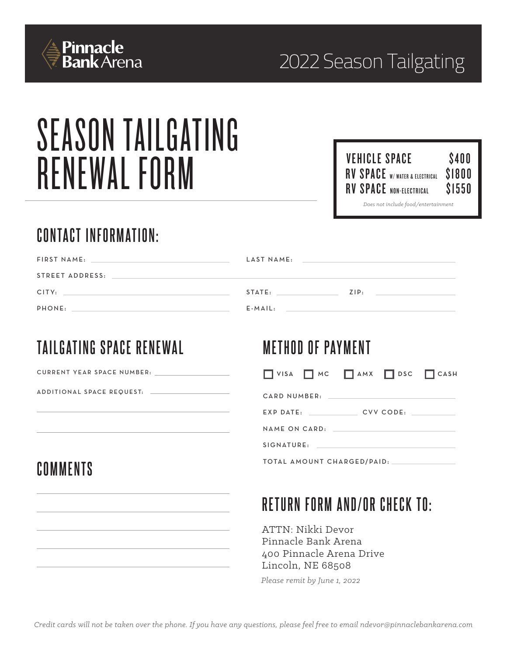

# SEASON TAILGATING RENEWAL FORM

| <b>VEHICLE SPACE</b>                  | \$400  |  |
|---------------------------------------|--------|--|
| <b>RV SPACE</b> W/ WATER & ELECTRICAL | \$1800 |  |
| <b>RV SPACE NON-ELECTRICAL</b>        | \$1550 |  |
| Does not include food/entertainment   |        |  |

## **CONTACT INFORMATION:**

| FIRST NAME:<br>the control of the control of the control of the control of the control of the control of | LAST NAME: | <u> 1989 - Johann Stoff, amerikansk politiker (d. 1989)</u> |
|----------------------------------------------------------------------------------------------------------|------------|-------------------------------------------------------------|
| STREET ADDRESS:                                                                                          |            |                                                             |
| CITY:<br><u> 1989 - Andrea Stadt Britain, amerikansk politiker (d. 1989)</u>                             | STATE:     | ZIP:                                                        |
| PHONE:                                                                                                   | $E$ -MAIL: |                                                             |

### **TAILGATING SPACE RENEWAL**

### **METHOD OF PAYMENT**

| <b>CURRENT YEAR SPACE NUMBER:</b> |  |  |
|-----------------------------------|--|--|
|                                   |  |  |

A D D I T I O N A L S PACE REQUEST: -

### **COMMENTS**

| CARD NUMBER:               |           |  |
|----------------------------|-----------|--|
| $EXP$ $DATE$ :             | CVV CODE: |  |
| NAME ON CARD.              |           |  |
| SIGNATURE                  |           |  |
| TOTAL AMOUNT CHARGED/PAID: |           |  |

 $\Box$  VISA  $\Box$  MC  $\Box$  AMX  $\Box$  DSC  $\Box$  CASH

# **RETURN FORM AND/OR CHECK TO:**

ATTN: Nikki Devor Pinnacle Bank Arena 400 Pinnacle Arena Drive Lincoln, NE 68508

*Please remit by June 1, 2022*